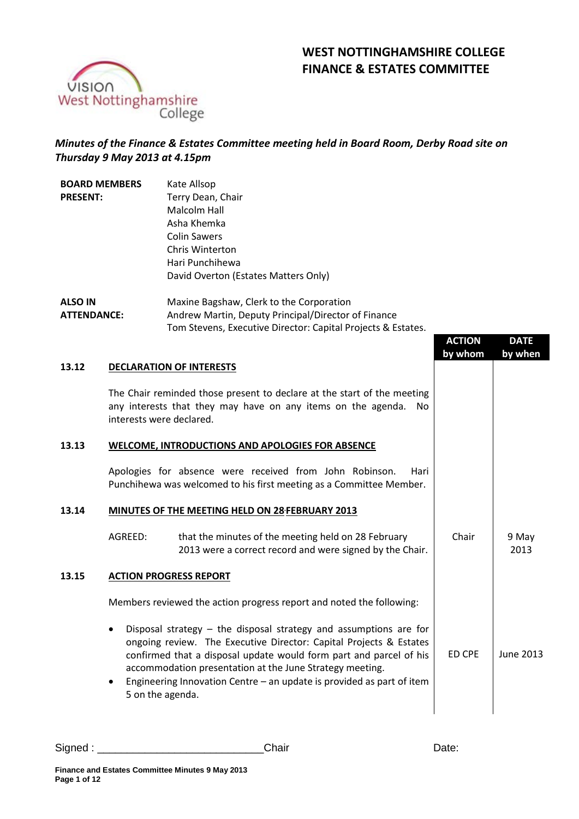## **WEST NOTTINGHAMSHIRE COLLEGE FINANCE & ESTATES COMMITTEE**



## *Minutes of the Finance & Estates Committee meeting held in Board Room, Derby Road site on Thursday 9 May 2013 at 4.15pm*

| <b>BOARD MEMBERS</b><br><b>PRESENT:</b> |                                                 | Kate Allsop<br>Terry Dean, Chair<br>Malcolm Hall<br>Asha Khemka<br><b>Colin Sawers</b><br>Chris Winterton<br>Hari Punchihewa<br>David Overton (Estates Matters Only)                                                                                                                                                                                                       |               |               |  |
|-----------------------------------------|-------------------------------------------------|----------------------------------------------------------------------------------------------------------------------------------------------------------------------------------------------------------------------------------------------------------------------------------------------------------------------------------------------------------------------------|---------------|---------------|--|
| <b>ALSO IN</b><br><b>ATTENDANCE:</b>    |                                                 | Maxine Bagshaw, Clerk to the Corporation<br>Andrew Martin, Deputy Principal/Director of Finance<br>Tom Stevens, Executive Director: Capital Projects & Estates.                                                                                                                                                                                                            | <b>ACTION</b> | <b>DATE</b>   |  |
|                                         |                                                 |                                                                                                                                                                                                                                                                                                                                                                            | by whom       | by when       |  |
| 13.12                                   |                                                 | <b>DECLARATION OF INTERESTS</b>                                                                                                                                                                                                                                                                                                                                            |               |               |  |
|                                         |                                                 | The Chair reminded those present to declare at the start of the meeting<br>any interests that they may have on any items on the agenda.<br>No<br>interests were declared.                                                                                                                                                                                                  |               |               |  |
| 13.13                                   |                                                 | <b>WELCOME, INTRODUCTIONS AND APOLOGIES FOR ABSENCE</b>                                                                                                                                                                                                                                                                                                                    |               |               |  |
|                                         |                                                 | Apologies for absence were received from John Robinson.<br>Hari<br>Punchihewa was welcomed to his first meeting as a Committee Member.                                                                                                                                                                                                                                     |               |               |  |
| 13.14                                   | MINUTES OF THE MEETING HELD ON 28 FEBRUARY 2013 |                                                                                                                                                                                                                                                                                                                                                                            |               |               |  |
|                                         | AGREED:                                         | that the minutes of the meeting held on 28 February<br>2013 were a correct record and were signed by the Chair.                                                                                                                                                                                                                                                            | Chair         | 9 May<br>2013 |  |
| 13.15                                   |                                                 | <b>ACTION PROGRESS REPORT</b>                                                                                                                                                                                                                                                                                                                                              |               |               |  |
|                                         |                                                 | Members reviewed the action progress report and noted the following:                                                                                                                                                                                                                                                                                                       |               |               |  |
|                                         |                                                 | Disposal strategy $-$ the disposal strategy and assumptions are for<br>ongoing review. The Executive Director: Capital Projects & Estates<br>confirmed that a disposal update would form part and parcel of his<br>accommodation presentation at the June Strategy meeting.<br>Engineering Innovation Centre $-$ an update is provided as part of item<br>5 on the agenda. | ED CPE        | June 2013     |  |

Signed : \_\_\_\_\_\_\_\_\_\_\_\_\_\_\_\_\_\_\_\_\_\_\_\_\_\_\_\_Chair Date: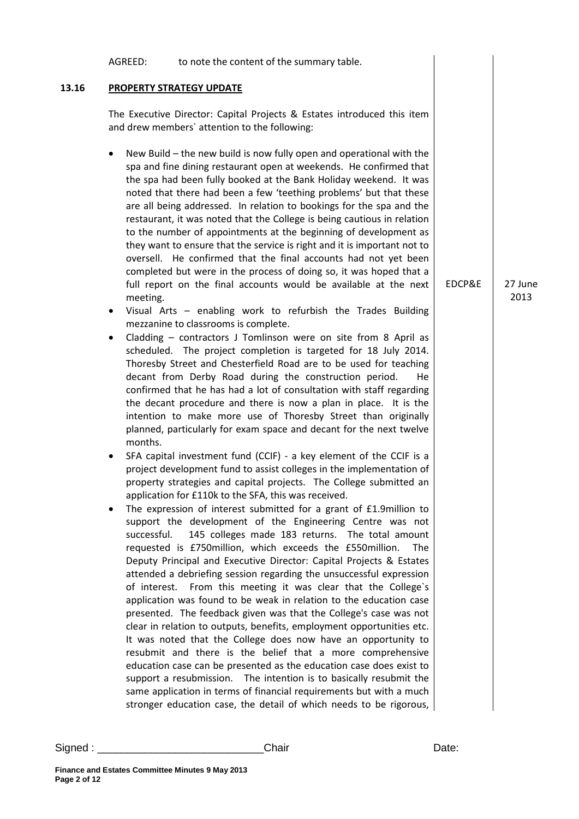|       | AGREED:                                                                                                                  | to note the content of the summary table.                                                                                                                                                                                                                                                                                                                                                                                                                                                                                                                                                                                                                                                                                                                                                                                                                                                                                                                                                                                                                                                                                                                                                                                                                                                                                                                                                                                                                                                                                                                                                                                                                                                                                                                                                                                                                                                                                                                                                                                                                                                                                                                                                                                                                                                                                                                                                                                                                                                                                                                                                                                                                                                                                                  |        |                 |
|-------|--------------------------------------------------------------------------------------------------------------------------|--------------------------------------------------------------------------------------------------------------------------------------------------------------------------------------------------------------------------------------------------------------------------------------------------------------------------------------------------------------------------------------------------------------------------------------------------------------------------------------------------------------------------------------------------------------------------------------------------------------------------------------------------------------------------------------------------------------------------------------------------------------------------------------------------------------------------------------------------------------------------------------------------------------------------------------------------------------------------------------------------------------------------------------------------------------------------------------------------------------------------------------------------------------------------------------------------------------------------------------------------------------------------------------------------------------------------------------------------------------------------------------------------------------------------------------------------------------------------------------------------------------------------------------------------------------------------------------------------------------------------------------------------------------------------------------------------------------------------------------------------------------------------------------------------------------------------------------------------------------------------------------------------------------------------------------------------------------------------------------------------------------------------------------------------------------------------------------------------------------------------------------------------------------------------------------------------------------------------------------------------------------------------------------------------------------------------------------------------------------------------------------------------------------------------------------------------------------------------------------------------------------------------------------------------------------------------------------------------------------------------------------------------------------------------------------------------------------------------------------------|--------|-----------------|
| 13.16 |                                                                                                                          | <b>PROPERTY STRATEGY UPDATE</b>                                                                                                                                                                                                                                                                                                                                                                                                                                                                                                                                                                                                                                                                                                                                                                                                                                                                                                                                                                                                                                                                                                                                                                                                                                                                                                                                                                                                                                                                                                                                                                                                                                                                                                                                                                                                                                                                                                                                                                                                                                                                                                                                                                                                                                                                                                                                                                                                                                                                                                                                                                                                                                                                                                            |        |                 |
|       | The Executive Director: Capital Projects & Estates introduced this item<br>and drew members' attention to the following: |                                                                                                                                                                                                                                                                                                                                                                                                                                                                                                                                                                                                                                                                                                                                                                                                                                                                                                                                                                                                                                                                                                                                                                                                                                                                                                                                                                                                                                                                                                                                                                                                                                                                                                                                                                                                                                                                                                                                                                                                                                                                                                                                                                                                                                                                                                                                                                                                                                                                                                                                                                                                                                                                                                                                            |        |                 |
|       | meeting.<br>٠<br>٠<br>months.<br>٠<br>successful.                                                                        | New Build - the new build is now fully open and operational with the<br>spa and fine dining restaurant open at weekends. He confirmed that<br>the spa had been fully booked at the Bank Holiday weekend. It was<br>noted that there had been a few 'teething problems' but that these<br>are all being addressed. In relation to bookings for the spa and the<br>restaurant, it was noted that the College is being cautious in relation<br>to the number of appointments at the beginning of development as<br>they want to ensure that the service is right and it is important not to<br>oversell. He confirmed that the final accounts had not yet been<br>completed but were in the process of doing so, it was hoped that a<br>full report on the final accounts would be available at the next<br>Visual Arts - enabling work to refurbish the Trades Building<br>mezzanine to classrooms is complete.<br>Cladding - contractors J Tomlinson were on site from 8 April as<br>scheduled. The project completion is targeted for 18 July 2014.<br>Thoresby Street and Chesterfield Road are to be used for teaching<br>decant from Derby Road during the construction period.<br>He.<br>confirmed that he has had a lot of consultation with staff regarding<br>the decant procedure and there is now a plan in place. It is the<br>intention to make more use of Thoresby Street than originally<br>planned, particularly for exam space and decant for the next twelve<br>SFA capital investment fund (CCIF) - a key element of the CCIF is a<br>project development fund to assist colleges in the implementation of<br>property strategies and capital projects. The College submitted an<br>application for £110k to the SFA, this was received.<br>The expression of interest submitted for a grant of £1.9million to<br>support the development of the Engineering Centre was not<br>145 colleges made 183 returns. The total amount<br>requested is £750million, which exceeds the £550million.<br><b>The</b><br>Deputy Principal and Executive Director: Capital Projects & Estates<br>attended a debriefing session regarding the unsuccessful expression<br>of interest. From this meeting it was clear that the College's<br>application was found to be weak in relation to the education case<br>presented. The feedback given was that the College's case was not<br>clear in relation to outputs, benefits, employment opportunities etc.<br>It was noted that the College does now have an opportunity to<br>resubmit and there is the belief that a more comprehensive<br>education case can be presented as the education case does exist to<br>support a resubmission. The intention is to basically resubmit the | EDCP&E | 27 June<br>2013 |
|       |                                                                                                                          | same application in terms of financial requirements but with a much<br>stronger education case, the detail of which needs to be rigorous,                                                                                                                                                                                                                                                                                                                                                                                                                                                                                                                                                                                                                                                                                                                                                                                                                                                                                                                                                                                                                                                                                                                                                                                                                                                                                                                                                                                                                                                                                                                                                                                                                                                                                                                                                                                                                                                                                                                                                                                                                                                                                                                                                                                                                                                                                                                                                                                                                                                                                                                                                                                                  |        |                 |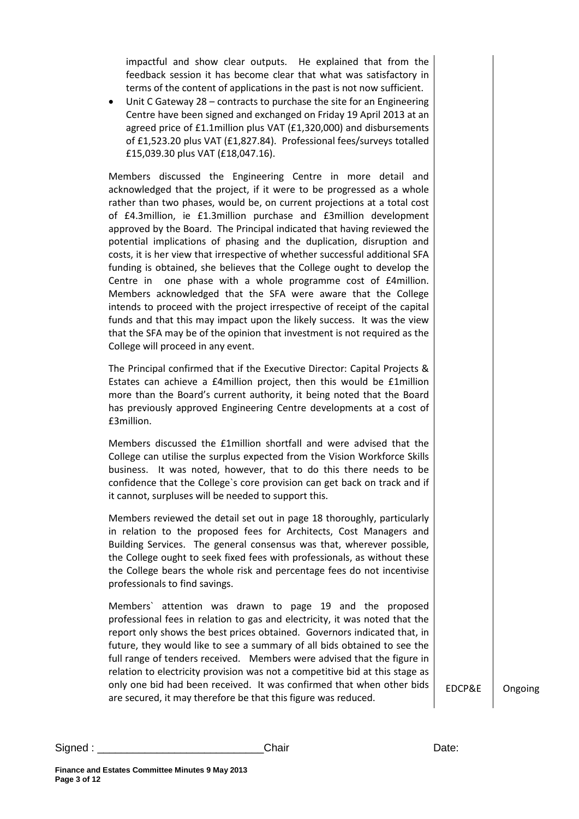impactful and show clear outputs. He explained that from the feedback session it has become clear that what was satisfactory in terms of the content of applications in the past is not now sufficient.

• Unit C Gateway 28 – contracts to purchase the site for an Engineering Centre have been signed and exchanged on Friday 19 April 2013 at an agreed price of £1.1million plus VAT (£1,320,000) and disbursements of £1,523.20 plus VAT (£1,827.84). Professional fees/surveys totalled £15,039.30 plus VAT (£18,047.16).

Members discussed the Engineering Centre in more detail and acknowledged that the project, if it were to be progressed as a whole rather than two phases, would be, on current projections at a total cost of £4.3million, ie £1.3million purchase and £3million development approved by the Board. The Principal indicated that having reviewed the potential implications of phasing and the duplication, disruption and costs, it is her view that irrespective of whether successful additional SFA funding is obtained, she believes that the College ought to develop the Centre in one phase with a whole programme cost of £4million. Members acknowledged that the SFA were aware that the College intends to proceed with the project irrespective of receipt of the capital funds and that this may impact upon the likely success. It was the view that the SFA may be of the opinion that investment is not required as the College will proceed in any event.

The Principal confirmed that if the Executive Director: Capital Projects & Estates can achieve a £4million project, then this would be £1million more than the Board's current authority, it being noted that the Board has previously approved Engineering Centre developments at a cost of £3million.

Members discussed the £1million shortfall and were advised that the College can utilise the surplus expected from the Vision Workforce Skills business. It was noted, however, that to do this there needs to be confidence that the College`s core provision can get back on track and if it cannot, surpluses will be needed to support this.

Members reviewed the detail set out in page 18 thoroughly, particularly in relation to the proposed fees for Architects, Cost Managers and Building Services. The general consensus was that, wherever possible, the College ought to seek fixed fees with professionals, as without these the College bears the whole risk and percentage fees do not incentivise professionals to find savings.

Members` attention was drawn to page 19 and the proposed professional fees in relation to gas and electricity, it was noted that the report only shows the best prices obtained. Governors indicated that, in future, they would like to see a summary of all bids obtained to see the full range of tenders received. Members were advised that the figure in relation to electricity provision was not a competitive bid at this stage as only one bid had been received. It was confirmed that when other bids are secured, it may therefore be that this figure was reduced.

EDCP&E Ongoing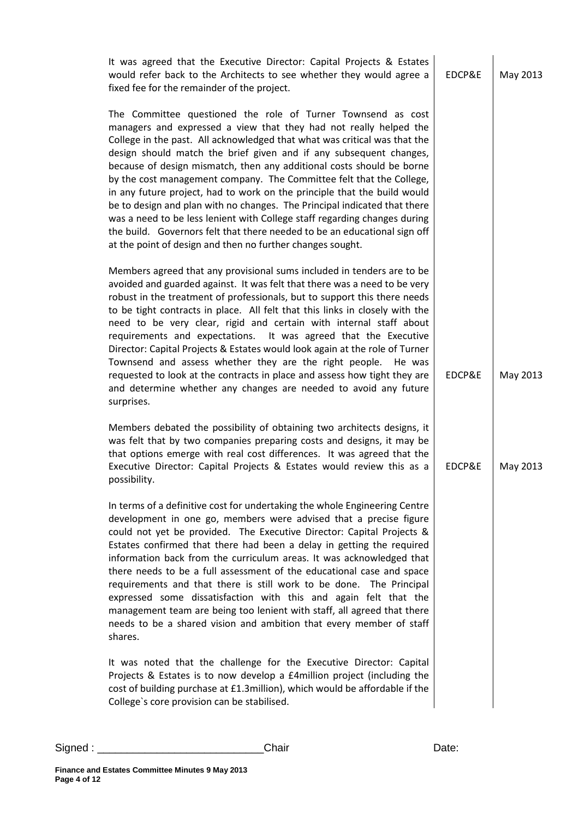| It was agreed that the Executive Director: Capital Projects & Estates<br>would refer back to the Architects to see whether they would agree a<br>fixed fee for the remainder of the project.                                                                                                                                                                                                                                                                                                                                                                                                                                                                                                                                                                                                                           | EDCP&E | May 2013 |
|------------------------------------------------------------------------------------------------------------------------------------------------------------------------------------------------------------------------------------------------------------------------------------------------------------------------------------------------------------------------------------------------------------------------------------------------------------------------------------------------------------------------------------------------------------------------------------------------------------------------------------------------------------------------------------------------------------------------------------------------------------------------------------------------------------------------|--------|----------|
|                                                                                                                                                                                                                                                                                                                                                                                                                                                                                                                                                                                                                                                                                                                                                                                                                        |        |          |
| The Committee questioned the role of Turner Townsend as cost<br>managers and expressed a view that they had not really helped the<br>College in the past. All acknowledged that what was critical was that the<br>design should match the brief given and if any subsequent changes,<br>because of design mismatch, then any additional costs should be borne<br>by the cost management company. The Committee felt that the College,<br>in any future project, had to work on the principle that the build would<br>be to design and plan with no changes. The Principal indicated that there<br>was a need to be less lenient with College staff regarding changes during<br>the build. Governors felt that there needed to be an educational sign off<br>at the point of design and then no further changes sought. |        |          |
| Members agreed that any provisional sums included in tenders are to be<br>avoided and guarded against. It was felt that there was a need to be very<br>robust in the treatment of professionals, but to support this there needs<br>to be tight contracts in place. All felt that this links in closely with the<br>need to be very clear, rigid and certain with internal staff about<br>requirements and expectations. It was agreed that the Executive<br>Director: Capital Projects & Estates would look again at the role of Turner<br>Townsend and assess whether they are the right people.<br>He was<br>requested to look at the contracts in place and assess how tight they are<br>and determine whether any changes are needed to avoid any future<br>surprises.                                            | EDCP&E | May 2013 |
| Members debated the possibility of obtaining two architects designs, it<br>was felt that by two companies preparing costs and designs, it may be<br>that options emerge with real cost differences. It was agreed that the<br>Executive Director: Capital Projects & Estates would review this as a<br>possibility.                                                                                                                                                                                                                                                                                                                                                                                                                                                                                                    | EDCP&E | May 2013 |
| In terms of a definitive cost for undertaking the whole Engineering Centre<br>development in one go, members were advised that a precise figure<br>could not yet be provided. The Executive Director: Capital Projects &<br>Estates confirmed that there had been a delay in getting the required<br>information back from the curriculum areas. It was acknowledged that<br>there needs to be a full assessment of the educational case and space<br>requirements and that there is still work to be done. The Principal<br>expressed some dissatisfaction with this and again felt that the<br>management team are being too lenient with staff, all agreed that there<br>needs to be a shared vision and ambition that every member of staff<br>shares.                                                             |        |          |
| It was noted that the challenge for the Executive Director: Capital<br>Projects & Estates is to now develop a £4 million project (including the<br>cost of building purchase at £1.3million), which would be affordable if the<br>College's core provision can be stabilised.                                                                                                                                                                                                                                                                                                                                                                                                                                                                                                                                          |        |          |
|                                                                                                                                                                                                                                                                                                                                                                                                                                                                                                                                                                                                                                                                                                                                                                                                                        |        |          |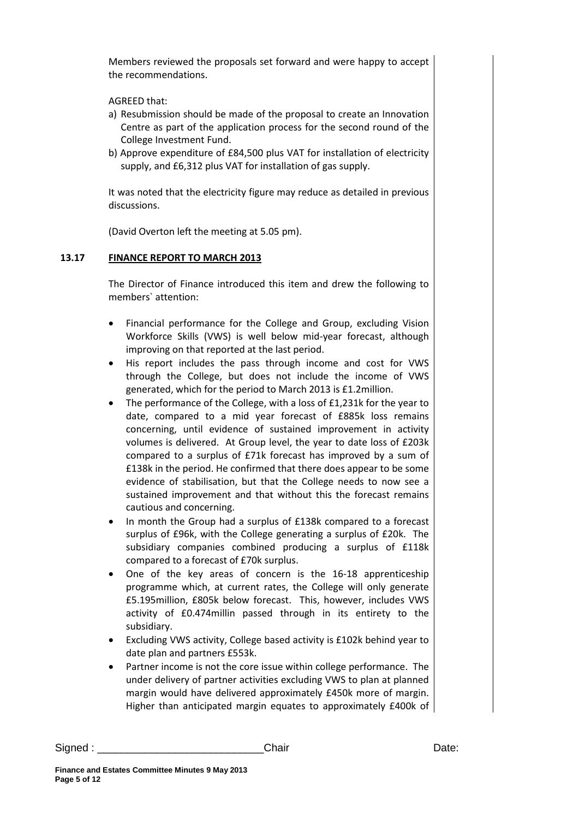Members reviewed the proposals set forward and were happy to accept the recommendations.

AGREED that:

- a) Resubmission should be made of the proposal to create an Innovation Centre as part of the application process for the second round of the College Investment Fund.
- b) Approve expenditure of £84,500 plus VAT for installation of electricity supply, and £6,312 plus VAT for installation of gas supply.

It was noted that the electricity figure may reduce as detailed in previous discussions.

(David Overton left the meeting at 5.05 pm).

## **13.17 FINANCE REPORT TO MARCH 2013**

The Director of Finance introduced this item and drew the following to members` attention:

- Financial performance for the College and Group, excluding Vision Workforce Skills (VWS) is well below mid-year forecast, although improving on that reported at the last period.
- His report includes the pass through income and cost for VWS through the College, but does not include the income of VWS generated, which for the period to March 2013 is £1.2million.
- The performance of the College, with a loss of £1,231k for the year to date, compared to a mid year forecast of £885k loss remains concerning, until evidence of sustained improvement in activity volumes is delivered. At Group level, the year to date loss of £203k compared to a surplus of £71k forecast has improved by a sum of £138k in the period. He confirmed that there does appear to be some evidence of stabilisation, but that the College needs to now see a sustained improvement and that without this the forecast remains cautious and concerning.
- In month the Group had a surplus of £138k compared to a forecast surplus of £96k, with the College generating a surplus of £20k. The subsidiary companies combined producing a surplus of £118k compared to a forecast of £70k surplus.
- One of the key areas of concern is the 16-18 apprenticeship programme which, at current rates, the College will only generate £5.195million, £805k below forecast. This, however, includes VWS activity of £0.474millin passed through in its entirety to the subsidiary.
- Excluding VWS activity, College based activity is £102k behind year to date plan and partners £553k.
- Partner income is not the core issue within college performance. The under delivery of partner activities excluding VWS to plan at planned margin would have delivered approximately £450k more of margin. Higher than anticipated margin equates to approximately £400k of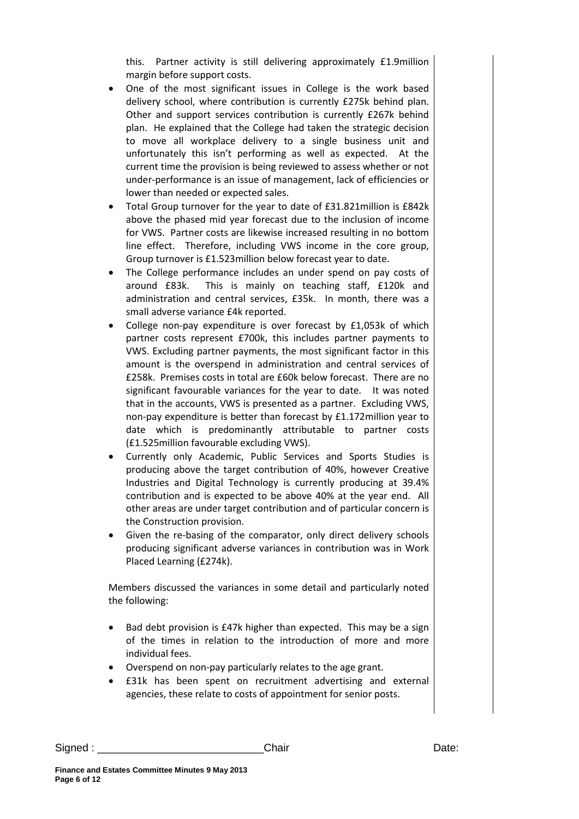this. Partner activity is still delivering approximately £1.9million margin before support costs.

- One of the most significant issues in College is the work based delivery school, where contribution is currently £275k behind plan. Other and support services contribution is currently £267k behind plan. He explained that the College had taken the strategic decision to move all workplace delivery to a single business unit and unfortunately this isn't performing as well as expected. At the current time the provision is being reviewed to assess whether or not under-performance is an issue of management, lack of efficiencies or lower than needed or expected sales.
- Total Group turnover for the year to date of £31.821million is £842k above the phased mid year forecast due to the inclusion of income for VWS. Partner costs are likewise increased resulting in no bottom line effect. Therefore, including VWS income in the core group, Group turnover is £1.523million below forecast year to date.
- The College performance includes an under spend on pay costs of around £83k. This is mainly on teaching staff, £120k and administration and central services, £35k. In month, there was a small adverse variance £4k reported.
- College non-pay expenditure is over forecast by £1,053k of which partner costs represent £700k, this includes partner payments to VWS. Excluding partner payments, the most significant factor in this amount is the overspend in administration and central services of £258k. Premises costs in total are £60k below forecast. There are no significant favourable variances for the year to date. It was noted that in the accounts, VWS is presented as a partner. Excluding VWS, non-pay expenditure is better than forecast by £1.172million year to date which is predominantly attributable to partner costs (£1.525million favourable excluding VWS).
- Currently only Academic, Public Services and Sports Studies is producing above the target contribution of 40%, however Creative Industries and Digital Technology is currently producing at 39.4% contribution and is expected to be above 40% at the year end. All other areas are under target contribution and of particular concern is the Construction provision.
- Given the re-basing of the comparator, only direct delivery schools producing significant adverse variances in contribution was in Work Placed Learning (£274k).

Members discussed the variances in some detail and particularly noted the following:

- Bad debt provision is £47k higher than expected. This may be a sign of the times in relation to the introduction of more and more individual fees.
- Overspend on non-pay particularly relates to the age grant.
- £31k has been spent on recruitment advertising and external agencies, these relate to costs of appointment for senior posts.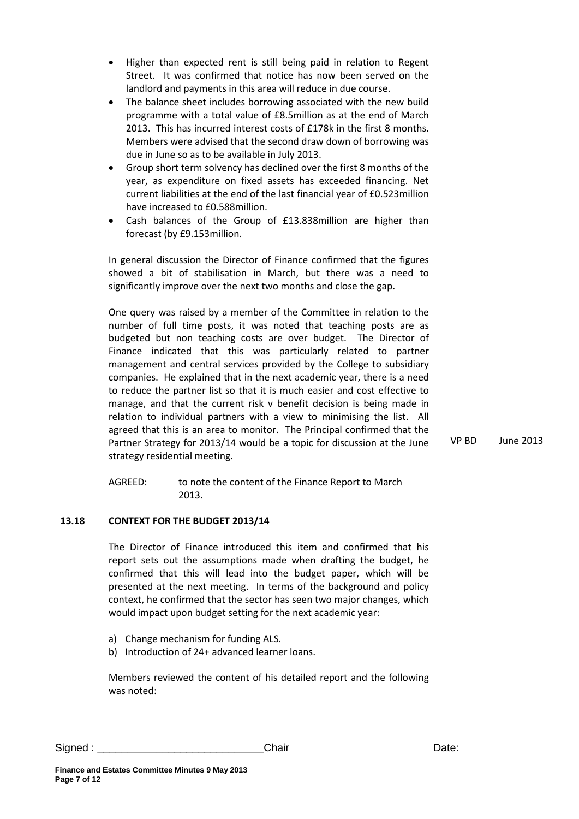|       | ٠<br>$\bullet$<br>$\bullet$<br>٠                                                                                                                                                                                                                                                                                                                                                                                                                                                                                                                                                                                                                                                                                                                                                                                                                                 | due in June so as to be available in July 2013.<br>have increased to £0.588 million.<br>forecast (by £9.153million. | Higher than expected rent is still being paid in relation to Regent<br>Street. It was confirmed that notice has now been served on the<br>landlord and payments in this area will reduce in due course.<br>The balance sheet includes borrowing associated with the new build<br>programme with a total value of £8.5million as at the end of March<br>2013. This has incurred interest costs of £178k in the first 8 months.<br>Members were advised that the second draw down of borrowing was<br>Group short term solvency has declined over the first 8 months of the<br>year, as expenditure on fixed assets has exceeded financing. Net<br>current liabilities at the end of the last financial year of £0.523million<br>Cash balances of the Group of £13.838million are higher than<br>In general discussion the Director of Finance confirmed that the figures |  |              |                  |
|-------|------------------------------------------------------------------------------------------------------------------------------------------------------------------------------------------------------------------------------------------------------------------------------------------------------------------------------------------------------------------------------------------------------------------------------------------------------------------------------------------------------------------------------------------------------------------------------------------------------------------------------------------------------------------------------------------------------------------------------------------------------------------------------------------------------------------------------------------------------------------|---------------------------------------------------------------------------------------------------------------------|-------------------------------------------------------------------------------------------------------------------------------------------------------------------------------------------------------------------------------------------------------------------------------------------------------------------------------------------------------------------------------------------------------------------------------------------------------------------------------------------------------------------------------------------------------------------------------------------------------------------------------------------------------------------------------------------------------------------------------------------------------------------------------------------------------------------------------------------------------------------------|--|--------------|------------------|
|       |                                                                                                                                                                                                                                                                                                                                                                                                                                                                                                                                                                                                                                                                                                                                                                                                                                                                  |                                                                                                                     | showed a bit of stabilisation in March, but there was a need to<br>significantly improve over the next two months and close the gap.                                                                                                                                                                                                                                                                                                                                                                                                                                                                                                                                                                                                                                                                                                                                    |  |              |                  |
|       | One query was raised by a member of the Committee in relation to the<br>number of full time posts, it was noted that teaching posts are as<br>budgeted but non teaching costs are over budget. The Director of<br>Finance indicated that this was particularly related to partner<br>management and central services provided by the College to subsidiary<br>companies. He explained that in the next academic year, there is a need<br>to reduce the partner list so that it is much easier and cost effective to<br>manage, and that the current risk v benefit decision is being made in<br>relation to individual partners with a view to minimising the list. All<br>agreed that this is an area to monitor. The Principal confirmed that the<br>Partner Strategy for 2013/14 would be a topic for discussion at the June<br>strategy residential meeting. |                                                                                                                     |                                                                                                                                                                                                                                                                                                                                                                                                                                                                                                                                                                                                                                                                                                                                                                                                                                                                         |  | <b>VP BD</b> | <b>June 2013</b> |
|       | AGREED:                                                                                                                                                                                                                                                                                                                                                                                                                                                                                                                                                                                                                                                                                                                                                                                                                                                          | 2013.                                                                                                               | to note the content of the Finance Report to March                                                                                                                                                                                                                                                                                                                                                                                                                                                                                                                                                                                                                                                                                                                                                                                                                      |  |              |                  |
| 13.18 |                                                                                                                                                                                                                                                                                                                                                                                                                                                                                                                                                                                                                                                                                                                                                                                                                                                                  | <b>CONTEXT FOR THE BUDGET 2013/14</b>                                                                               |                                                                                                                                                                                                                                                                                                                                                                                                                                                                                                                                                                                                                                                                                                                                                                                                                                                                         |  |              |                  |
|       |                                                                                                                                                                                                                                                                                                                                                                                                                                                                                                                                                                                                                                                                                                                                                                                                                                                                  |                                                                                                                     | The Director of Finance introduced this item and confirmed that his<br>report sets out the assumptions made when drafting the budget, he<br>confirmed that this will lead into the budget paper, which will be<br>presented at the next meeting. In terms of the background and policy<br>context, he confirmed that the sector has seen two major changes, which<br>would impact upon budget setting for the next academic year:                                                                                                                                                                                                                                                                                                                                                                                                                                       |  |              |                  |
|       |                                                                                                                                                                                                                                                                                                                                                                                                                                                                                                                                                                                                                                                                                                                                                                                                                                                                  | a) Change mechanism for funding ALS.<br>b) Introduction of 24+ advanced learner loans.                              |                                                                                                                                                                                                                                                                                                                                                                                                                                                                                                                                                                                                                                                                                                                                                                                                                                                                         |  |              |                  |
|       | was noted:                                                                                                                                                                                                                                                                                                                                                                                                                                                                                                                                                                                                                                                                                                                                                                                                                                                       |                                                                                                                     | Members reviewed the content of his detailed report and the following                                                                                                                                                                                                                                                                                                                                                                                                                                                                                                                                                                                                                                                                                                                                                                                                   |  |              |                  |
|       |                                                                                                                                                                                                                                                                                                                                                                                                                                                                                                                                                                                                                                                                                                                                                                                                                                                                  |                                                                                                                     |                                                                                                                                                                                                                                                                                                                                                                                                                                                                                                                                                                                                                                                                                                                                                                                                                                                                         |  |              |                  |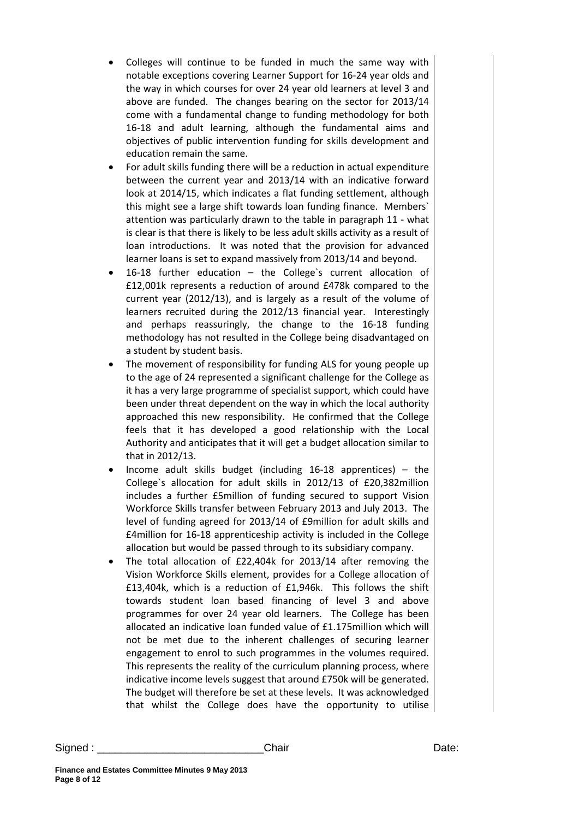- Colleges will continue to be funded in much the same way with notable exceptions covering Learner Support for 16-24 year olds and the way in which courses for over 24 year old learners at level 3 and above are funded. The changes bearing on the sector for 2013/14 come with a fundamental change to funding methodology for both 16-18 and adult learning, although the fundamental aims and objectives of public intervention funding for skills development and education remain the same.
- For adult skills funding there will be a reduction in actual expenditure between the current year and 2013/14 with an indicative forward look at 2014/15, which indicates a flat funding settlement, although this might see a large shift towards loan funding finance. Members` attention was particularly drawn to the table in paragraph 11 - what is clear is that there is likely to be less adult skills activity as a result of loan introductions. It was noted that the provision for advanced learner loans is set to expand massively from 2013/14 and beyond.
- 16-18 further education the College`s current allocation of £12,001k represents a reduction of around £478k compared to the current year (2012/13), and is largely as a result of the volume of learners recruited during the 2012/13 financial year. Interestingly and perhaps reassuringly, the change to the 16-18 funding methodology has not resulted in the College being disadvantaged on a student by student basis.
- The movement of responsibility for funding ALS for young people up to the age of 24 represented a significant challenge for the College as it has a very large programme of specialist support, which could have been under threat dependent on the way in which the local authority approached this new responsibility. He confirmed that the College feels that it has developed a good relationship with the Local Authority and anticipates that it will get a budget allocation similar to that in 2012/13.
- Income adult skills budget (including  $16-18$  apprentices) the College`s allocation for adult skills in 2012/13 of £20,382million includes a further £5million of funding secured to support Vision Workforce Skills transfer between February 2013 and July 2013. The level of funding agreed for 2013/14 of £9million for adult skills and £4million for 16-18 apprenticeship activity is included in the College allocation but would be passed through to its subsidiary company.
- The total allocation of £22,404k for 2013/14 after removing the Vision Workforce Skills element, provides for a College allocation of £13,404k, which is a reduction of £1,946k. This follows the shift towards student loan based financing of level 3 and above programmes for over 24 year old learners. The College has been allocated an indicative loan funded value of £1.175million which will not be met due to the inherent challenges of securing learner engagement to enrol to such programmes in the volumes required. This represents the reality of the curriculum planning process, where indicative income levels suggest that around £750k will be generated. The budget will therefore be set at these levels. It was acknowledged that whilst the College does have the opportunity to utilise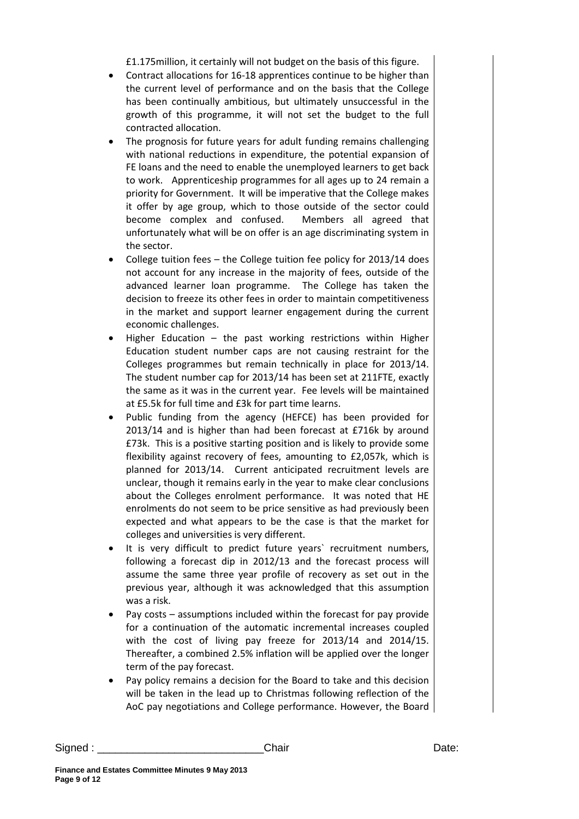£1.175million, it certainly will not budget on the basis of this figure.

- Contract allocations for 16-18 apprentices continue to be higher than the current level of performance and on the basis that the College has been continually ambitious, but ultimately unsuccessful in the growth of this programme, it will not set the budget to the full contracted allocation.
- The prognosis for future years for adult funding remains challenging with national reductions in expenditure, the potential expansion of FE loans and the need to enable the unemployed learners to get back to work. Apprenticeship programmes for all ages up to 24 remain a priority for Government. It will be imperative that the College makes it offer by age group, which to those outside of the sector could become complex and confused. Members all agreed that unfortunately what will be on offer is an age discriminating system in the sector.
- College tuition fees  $-$  the College tuition fee policy for 2013/14 does not account for any increase in the majority of fees, outside of the advanced learner loan programme. The College has taken the decision to freeze its other fees in order to maintain competitiveness in the market and support learner engagement during the current economic challenges.
- Higher Education  $-$  the past working restrictions within Higher Education student number caps are not causing restraint for the Colleges programmes but remain technically in place for 2013/14. The student number cap for 2013/14 has been set at 211FTE, exactly the same as it was in the current year. Fee levels will be maintained at £5.5k for full time and £3k for part time learns.
- Public funding from the agency (HEFCE) has been provided for 2013/14 and is higher than had been forecast at £716k by around £73k. This is a positive starting position and is likely to provide some flexibility against recovery of fees, amounting to £2,057k, which is planned for 2013/14. Current anticipated recruitment levels are unclear, though it remains early in the year to make clear conclusions about the Colleges enrolment performance. It was noted that HE enrolments do not seem to be price sensitive as had previously been expected and what appears to be the case is that the market for colleges and universities is very different.
- It is very difficult to predict future years' recruitment numbers, following a forecast dip in 2012/13 and the forecast process will assume the same three year profile of recovery as set out in the previous year, although it was acknowledged that this assumption was a risk.
- Pay costs assumptions included within the forecast for pay provide for a continuation of the automatic incremental increases coupled with the cost of living pay freeze for 2013/14 and 2014/15. Thereafter, a combined 2.5% inflation will be applied over the longer term of the pay forecast.
- Pay policy remains a decision for the Board to take and this decision will be taken in the lead up to Christmas following reflection of the AoC pay negotiations and College performance. However, the Board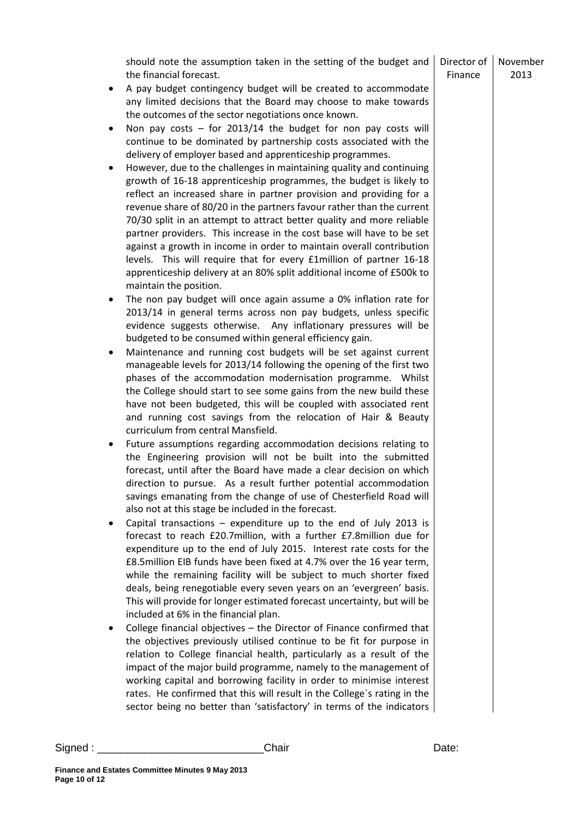|                     | should note the assumption taken in the setting of the budget and<br>the financial forecast.                                                                                                                                                                                                                                                                                                                                                                                                                                                                                                                                                                                                                                                                                                                                                                                                                                                                                                                                                                                                           | Director of<br>Finance | November<br>2013 |
|---------------------|--------------------------------------------------------------------------------------------------------------------------------------------------------------------------------------------------------------------------------------------------------------------------------------------------------------------------------------------------------------------------------------------------------------------------------------------------------------------------------------------------------------------------------------------------------------------------------------------------------------------------------------------------------------------------------------------------------------------------------------------------------------------------------------------------------------------------------------------------------------------------------------------------------------------------------------------------------------------------------------------------------------------------------------------------------------------------------------------------------|------------------------|------------------|
| $\bullet$<br>٠<br>٠ | A pay budget contingency budget will be created to accommodate<br>any limited decisions that the Board may choose to make towards<br>the outcomes of the sector negotiations once known.<br>Non pay costs $-$ for 2013/14 the budget for non pay costs will<br>continue to be dominated by partnership costs associated with the<br>delivery of employer based and apprenticeship programmes.<br>However, due to the challenges in maintaining quality and continuing<br>growth of 16-18 apprenticeship programmes, the budget is likely to<br>reflect an increased share in partner provision and providing for a<br>revenue share of 80/20 in the partners favour rather than the current<br>70/30 split in an attempt to attract better quality and more reliable<br>partner providers. This increase in the cost base will have to be set<br>against a growth in income in order to maintain overall contribution<br>levels. This will require that for every <i>famillion</i> of partner 16-18<br>apprenticeship delivery at an 80% split additional income of £500k to<br>maintain the position. |                        |                  |
| ٠                   | The non pay budget will once again assume a 0% inflation rate for<br>2013/14 in general terms across non pay budgets, unless specific<br>evidence suggests otherwise. Any inflationary pressures will be<br>budgeted to be consumed within general efficiency gain.                                                                                                                                                                                                                                                                                                                                                                                                                                                                                                                                                                                                                                                                                                                                                                                                                                    |                        |                  |
| $\bullet$           | Maintenance and running cost budgets will be set against current<br>manageable levels for 2013/14 following the opening of the first two<br>phases of the accommodation modernisation programme. Whilst<br>the College should start to see some gains from the new build these<br>have not been budgeted, this will be coupled with associated rent<br>and running cost savings from the relocation of Hair & Beauty<br>curriculum from central Mansfield.                                                                                                                                                                                                                                                                                                                                                                                                                                                                                                                                                                                                                                             |                        |                  |
| $\bullet$           | Future assumptions regarding accommodation decisions relating to<br>the Engineering provision will not be built into the submitted<br>forecast, until after the Board have made a clear decision on which<br>direction to pursue. As a result further potential accommodation<br>savings emanating from the change of use of Chesterfield Road will<br>also not at this stage be included in the forecast.                                                                                                                                                                                                                                                                                                                                                                                                                                                                                                                                                                                                                                                                                             |                        |                  |
| ٠                   | Capital transactions $-$ expenditure up to the end of July 2013 is<br>forecast to reach £20.7million, with a further £7.8million due for<br>expenditure up to the end of July 2015. Interest rate costs for the<br>£8.5million EIB funds have been fixed at 4.7% over the 16 year term,<br>while the remaining facility will be subject to much shorter fixed<br>deals, being renegotiable every seven years on an 'evergreen' basis.<br>This will provide for longer estimated forecast uncertainty, but will be<br>included at 6% in the financial plan.                                                                                                                                                                                                                                                                                                                                                                                                                                                                                                                                             |                        |                  |
| ٠                   | College financial objectives - the Director of Finance confirmed that<br>the objectives previously utilised continue to be fit for purpose in<br>relation to College financial health, particularly as a result of the<br>impact of the major build programme, namely to the management of<br>working capital and borrowing facility in order to minimise interest<br>rates. He confirmed that this will result in the College's rating in the<br>sector being no better than 'satisfactory' in terms of the indicators                                                                                                                                                                                                                                                                                                                                                                                                                                                                                                                                                                                |                        |                  |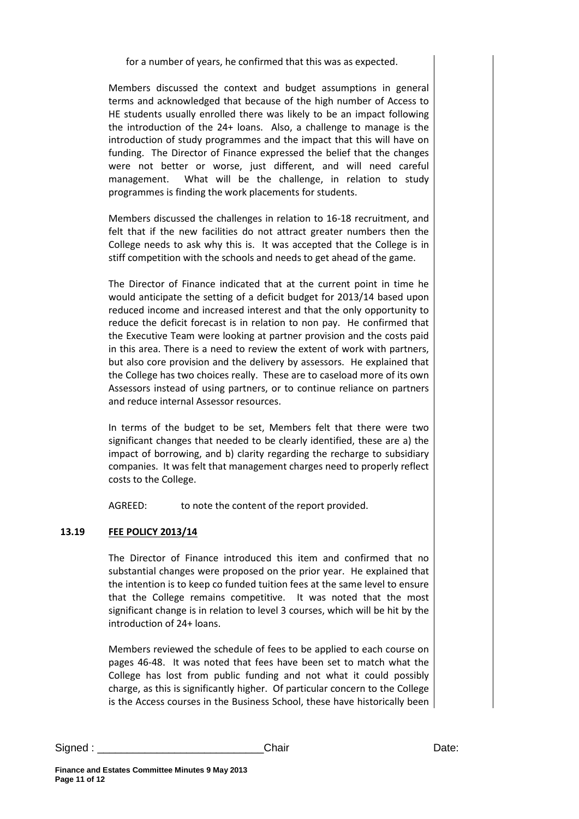for a number of years, he confirmed that this was as expected.

Members discussed the context and budget assumptions in general terms and acknowledged that because of the high number of Access to HE students usually enrolled there was likely to be an impact following the introduction of the 24+ loans. Also, a challenge to manage is the introduction of study programmes and the impact that this will have on funding. The Director of Finance expressed the belief that the changes were not better or worse, just different, and will need careful management. What will be the challenge, in relation to study programmes is finding the work placements for students.

Members discussed the challenges in relation to 16-18 recruitment, and felt that if the new facilities do not attract greater numbers then the College needs to ask why this is. It was accepted that the College is in stiff competition with the schools and needs to get ahead of the game.

The Director of Finance indicated that at the current point in time he would anticipate the setting of a deficit budget for 2013/14 based upon reduced income and increased interest and that the only opportunity to reduce the deficit forecast is in relation to non pay. He confirmed that the Executive Team were looking at partner provision and the costs paid in this area. There is a need to review the extent of work with partners, but also core provision and the delivery by assessors. He explained that the College has two choices really. These are to caseload more of its own Assessors instead of using partners, or to continue reliance on partners and reduce internal Assessor resources.

In terms of the budget to be set, Members felt that there were two significant changes that needed to be clearly identified, these are a) the impact of borrowing, and b) clarity regarding the recharge to subsidiary companies. It was felt that management charges need to properly reflect costs to the College.

AGREED: to note the content of the report provided.

## **13.19 FEE POLICY 2013/14**

The Director of Finance introduced this item and confirmed that no substantial changes were proposed on the prior year. He explained that the intention is to keep co funded tuition fees at the same level to ensure that the College remains competitive. It was noted that the most significant change is in relation to level 3 courses, which will be hit by the introduction of 24+ loans.

Members reviewed the schedule of fees to be applied to each course on pages 46-48. It was noted that fees have been set to match what the College has lost from public funding and not what it could possibly charge, as this is significantly higher. Of particular concern to the College is the Access courses in the Business School, these have historically been